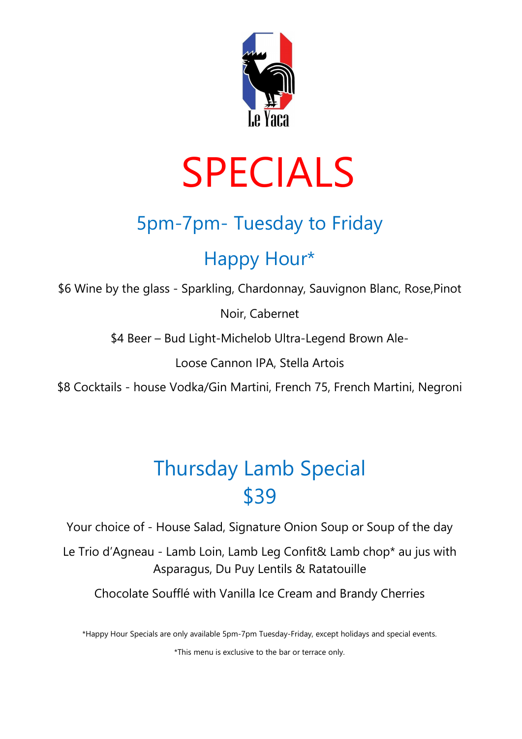

# SPECIALS

## 5pm-7pm- Tuesday to Friday

### Happy Hour\*

\$6 Wine by the glass - Sparkling, Chardonnay, Sauvignon Blanc, Rose,Pinot

Noir, Cabernet

\$4 Beer – Bud Light-Michelob Ultra-Legend Brown Ale-

Loose Cannon IPA, Stella Artois

\$8 Cocktails - house Vodka/Gin Martini, French 75, French Martini, Negroni

## Thursday Lamb Special \$39

Your choice of - House Salad, Signature Onion Soup or Soup of the day

Le Trio d'Agneau - Lamb Loin, Lamb Leg Confit& Lamb chop\* au jus with Asparagus, Du Puy Lentils & Ratatouille

Chocolate Soufflé with Vanilla Ice Cream and Brandy Cherries

\*Happy Hour Specials are only available 5pm-7pm Tuesday-Friday, except holidays and special events.

\*This menu is exclusive to the bar or terrace only.